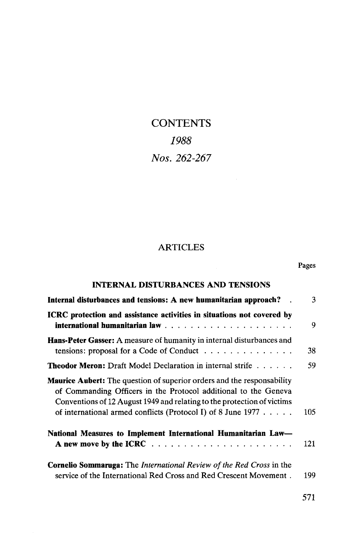# **CONTENTS** *1988 Nos. 262-267*

## ARTICLES

Pages

| <b>INTERNAL DISTURBANCES AND TENSIONS</b>                                                                                                                                                                                                                                                       |     |
|-------------------------------------------------------------------------------------------------------------------------------------------------------------------------------------------------------------------------------------------------------------------------------------------------|-----|
| Internal disturbances and tensions: A new humanitarian approach?                                                                                                                                                                                                                                | 3   |
| <b>ICRC</b> protection and assistance activities in situations not covered by                                                                                                                                                                                                                   | 9   |
| <b>Hans-Peter Gasser:</b> A measure of humanity in internal disturbances and<br>tensions: proposal for a Code of Conduct $\ldots \ldots \ldots \ldots \ldots$                                                                                                                                   | 38  |
| <b>Theodor Meron:</b> Draft Model Declaration in internal strife                                                                                                                                                                                                                                | 59  |
| <b>Maurice Aubert:</b> The question of superior orders and the responsability<br>of Commanding Officers in the Protocol additional to the Geneva<br>Conventions of 12 August 1949 and relating to the protection of victims<br>of international armed conflicts (Protocol I) of 8 June $1977$ . | 105 |
| National Measures to Implement International Humanitarian Law—                                                                                                                                                                                                                                  | 121 |
| <b>Cornelio Sommaruga:</b> The <i>International Review of the Red Cross</i> in the<br>service of the International Red Cross and Red Crescent Movement.                                                                                                                                         | 199 |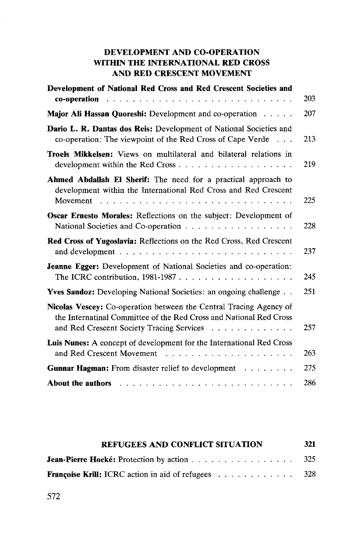## **DEVELOPMENT AND CO-OPERATION WITHIN THE INTERNATIONAL RED CROSS AND RED CRESCENT MOVEMENT**

| Development of National Red Cross and Red Crescent Societies and                                                                                                                      | 203 |
|---------------------------------------------------------------------------------------------------------------------------------------------------------------------------------------|-----|
| Major Ali Hassan Quoreshi: Development and co-operation                                                                                                                               | 207 |
| Dario L. R. Dantas dos Reis: Development of National Societies and<br>co-operation: The viewpoint of the Red Cross of Cape Verde                                                      | 213 |
| Troels Mikkelsen: Views on multilateral and bilateral relations in                                                                                                                    | 219 |
| Ahmed Abdallah El Sherif: The need for a practical approach to<br>development within the International Red Cross and Red Crescent                                                     | 225 |
| Oscar Ernesto Morales: Reflections on the subject: Development of                                                                                                                     | 228 |
| Red Cross of Yugoslavia: Reflections on the Red Cross, Red Crescent                                                                                                                   | 237 |
| <b>Jeanne Egger:</b> Development of National Societies and co-operation:                                                                                                              | 245 |
| Yves Sandoz: Developing National Societies: an ongoing challenge                                                                                                                      | 251 |
| Nicolas Vescey: Co-operation between the Central Tracing Agency of<br>the Internatinal Committee of the Red Cross and National Red Cross<br>and Red Crescent Society Tracing Services | 257 |
| Luis Nunes: A concept of development for the International Red Cross                                                                                                                  | 263 |
| <b>Gunnar Hagman:</b> From disaster relief to development                                                                                                                             | 275 |
| <b>About the authors</b>                                                                                                                                                              | 286 |

| <b>REFUGEES AND CONFLICT SITUATION</b>                     |  |  |  |  |  |  |  |  |  |  |  |
|------------------------------------------------------------|--|--|--|--|--|--|--|--|--|--|--|
| <b>Jean-Pierre Hocké:</b> Protection by action 325         |  |  |  |  |  |  |  |  |  |  |  |
| <b>Françoise Krill:</b> ICRC action in aid of refugees 328 |  |  |  |  |  |  |  |  |  |  |  |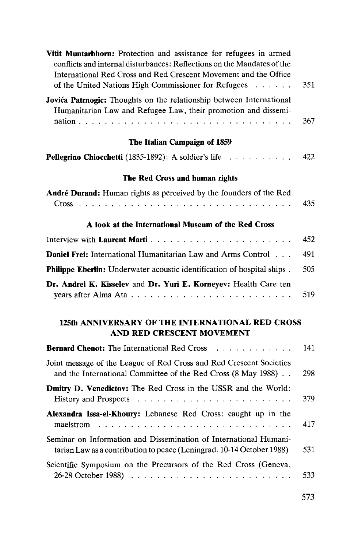| Vitit Muntarbhorn: Protection and assistance for refugees in armed<br>conflicts and internal disturbances: Reflections on the Mandates of the<br>International Red Cross and Red Crescent Movement and the Office<br>of the United Nations High Commissioner for Refugees | 351 |
|---------------------------------------------------------------------------------------------------------------------------------------------------------------------------------------------------------------------------------------------------------------------------|-----|
| Jovića Patrnogic: Thoughts on the relationship between International<br>Humanitarian Law and Refugee Law, their promotion and dissemi-                                                                                                                                    | 367 |
| The Italian Campaign of 1859                                                                                                                                                                                                                                              |     |
| Pellegrino Chiocchetti (1835-1892): A soldier's life                                                                                                                                                                                                                      | 422 |
| The Red Cross and human rights                                                                                                                                                                                                                                            |     |
| André Durand: Human rights as perceived by the founders of the Red                                                                                                                                                                                                        | 435 |
| A look at the International Museum of the Red Cross                                                                                                                                                                                                                       |     |
|                                                                                                                                                                                                                                                                           | 452 |
| Daniel Frei: International Humanitarian Law and Arms Control                                                                                                                                                                                                              | 491 |
| Philippe Eberlin: Underwater acoustic identification of hospital ships.                                                                                                                                                                                                   | 505 |
| Dr. Andrei K. Kisselev and Dr. Yuri E. Korneyev: Health Care ten                                                                                                                                                                                                          | 519 |
| 125th ANNIVERSARY OF THE INTERNATIONAL RED CROSS<br>AND RED CRESCENT MOVEMENT                                                                                                                                                                                             |     |
| <b>Bernard Chenot:</b> The International Red Cross                                                                                                                                                                                                                        | 141 |
| Joint message of the League of Red Cross and Red Crescent Societies<br>and the International Committee of the Red Cross (8 May 1988).                                                                                                                                     | 298 |
| Dmitry D. Venedictov: The Red Cross in the USSR and the World:                                                                                                                                                                                                            | 379 |
| Alexandra Issa-el-Khoury: Lebanese Red Cross: caught up in the<br>maelstrom<br>$\mathbf{1}$                                                                                                                                                                               | 417 |
| Seminar on Information and Dissemination of International Humani-<br>tarian Law as a contribution to peace (Leningrad, 10-14 October 1988)                                                                                                                                | 531 |
| Scientific Symposium on the Precursors of the Red Cross (Geneva,                                                                                                                                                                                                          | 533 |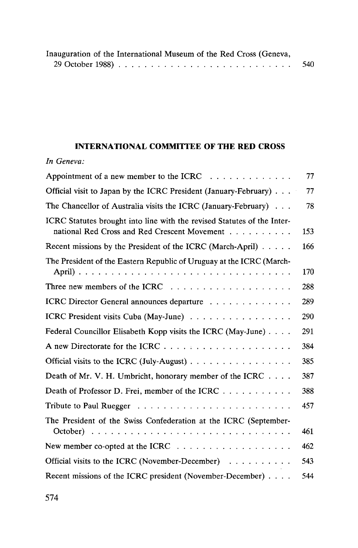|  | Inauguration of the International Museum of the Red Cross (Geneva, |     |
|--|--------------------------------------------------------------------|-----|
|  |                                                                    | 540 |

## **INTERNATIONAL COMMITTEE OF THE RED CROSS**

## *In Geneva:*

| Appointment of a new member to the ICRC                                                                                                                     | 77  |
|-------------------------------------------------------------------------------------------------------------------------------------------------------------|-----|
| Official visit to Japan by the ICRC President (January-February)                                                                                            | 77  |
| The Chancellor of Australia visits the ICRC (January-February) $\ldots$                                                                                     | 78  |
| ICRC Statutes brought into line with the revised Statutes of the Inter-<br>national Red Cross and Red Crescent Movement                                     | 153 |
| Recent missions by the President of the ICRC (March-April)                                                                                                  | 166 |
| The President of the Eastern Republic of Uruguay at the ICRC (March-                                                                                        | 170 |
|                                                                                                                                                             | 288 |
| ICRC Director General announces departure                                                                                                                   | 289 |
| ICRC President visits Cuba (May-June)                                                                                                                       | 290 |
| Federal Councillor Elisabeth Kopp visits the ICRC (May-June)                                                                                                | 291 |
|                                                                                                                                                             | 384 |
| Official visits to the ICRC (July-August)                                                                                                                   | 385 |
| Death of Mr. V. H. Umbricht, honorary member of the ICRC                                                                                                    | 387 |
| Death of Professor D. Frei, member of the ICRC                                                                                                              | 388 |
|                                                                                                                                                             | 457 |
| The President of the Swiss Confederation at the ICRC (September-<br>October) $\ldots \ldots \ldots \ldots \ldots \ldots \ldots \ldots \ldots \ldots \ldots$ | 461 |
|                                                                                                                                                             | 462 |
| Official visits to the ICRC (November-December)                                                                                                             | 543 |
| Recent missions of the ICRC president (November-December)                                                                                                   | 544 |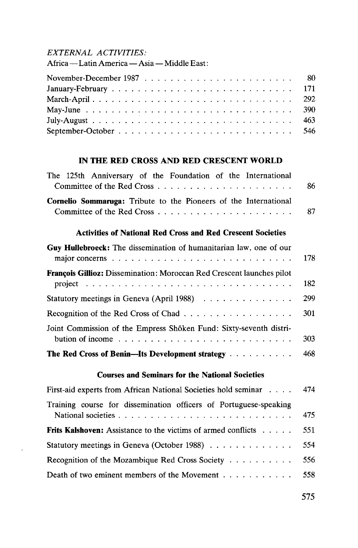#### *EXTERNAL ACTIVITIES:*

¥,

Africa—Latin America—Asia — Middle East:

| May-June $\ldots \ldots \ldots \ldots \ldots \ldots \ldots \ldots \ldots \ldots \ldots \ldots$ |  |  |  |  |  |  |  |  |  |  |  |  |  |
|------------------------------------------------------------------------------------------------|--|--|--|--|--|--|--|--|--|--|--|--|--|
|                                                                                                |  |  |  |  |  |  |  |  |  |  |  |  |  |
|                                                                                                |  |  |  |  |  |  |  |  |  |  |  |  |  |

#### **IN THE RED CROSS AND RED CRESCENT WORLD**

| The 125th Anniversary of the Foundation of the International            |     |
|-------------------------------------------------------------------------|-----|
|                                                                         | -86 |
| <b>Cornelio Sommaruga:</b> Tribute to the Pioneers of the International |     |
|                                                                         |     |

#### **Activities of National Red Cross and Red Crescent Societies**

| Guy Hullebroeck: The dissemination of humanitarian law, one of our<br>major concerns $\ldots \ldots \ldots \ldots \ldots \ldots \ldots \ldots \ldots \ldots$           | 178 |
|------------------------------------------------------------------------------------------------------------------------------------------------------------------------|-----|
| <b>François Gillioz:</b> Dissemination: Moroccan Red Crescent launches pilot<br>project $\ldots \ldots \ldots \ldots \ldots \ldots \ldots \ldots \ldots \ldots \ldots$ | 182 |
| Statutory meetings in Geneva (April 1988)                                                                                                                              | 299 |
|                                                                                                                                                                        | 301 |
| Joint Commission of the Empress Shôken Fund: Sixty-seventh distri-<br>bution of income $\ldots \ldots \ldots \ldots \ldots \ldots \ldots \ldots$                       | 303 |
| The Red Cross of Benin--Its Development strategy                                                                                                                       | 468 |

#### **Courses and Seminars for the National Societies**

| First-aid experts from African National Societies hold seminar 474   |     |
|----------------------------------------------------------------------|-----|
| Training course for dissemination officers of Portuguese-speaking    | 475 |
| <b>Frits Kalshoven:</b> Assistance to the victims of armed conflicts | 551 |
| Statutory meetings in Geneva (October 1988)                          | 554 |
| Recognition of the Mozambique Red Cross Society                      | 556 |
| Death of two eminent members of the Movement 558                     |     |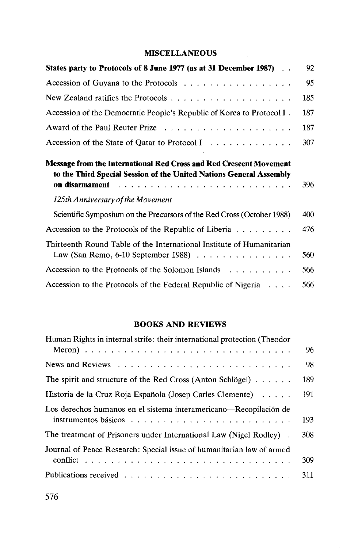## **MISCELLANEOUS**

| States party to Protocols of 8 June 1977 (as at 31 December 1987).                                                                               | 92. |
|--------------------------------------------------------------------------------------------------------------------------------------------------|-----|
| Accession of Guyana to the Protocols                                                                                                             | 95  |
|                                                                                                                                                  | 185 |
| Accession of the Democratic People's Republic of Korea to Protocol I.                                                                            | 187 |
|                                                                                                                                                  | 187 |
| Accession of the State of Qatar to Protocol I                                                                                                    | 307 |
| <b>Message from the International Red Cross and Red Crescent Movement</b><br>to the Third Special Session of the United Nations General Assembly | 396 |
| 125th Anniversary of the Movement                                                                                                                |     |
| Scientific Symposium on the Precursors of the Red Cross (October 1988)                                                                           | 400 |
| Accession to the Protocols of the Republic of Liberia                                                                                            | 476 |
| Thirteenth Round Table of the International Institute of Humanitarian                                                                            | 560 |
| Accession to the Protocols of the Solomon Islands                                                                                                | 566 |
| Accession to the Protocols of the Federal Republic of Nigeria $\dots$                                                                            | 566 |

## **BOOKS AND REVIEWS**

| Human Rights in internal strife: their international protection (Theodor                                       |     |
|----------------------------------------------------------------------------------------------------------------|-----|
|                                                                                                                | 96  |
|                                                                                                                | 98  |
| The spirit and structure of the Red Cross (Anton Schlögel)                                                     | 189 |
| Historia de la Cruz Roja Española (Josep Carles Clemente)                                                      | 191 |
| Los derechos humanos en el sistema interamericano—Recopilación de                                              |     |
| instrumentos básicos en el estadounidense en el estadounidense de la estadounidense de la estadounidense de la | 193 |
| The treatment of Prisoners under International Law (Nigel Rodley).                                             | 308 |
| Journal of Peace Research: Special issue of humanitarian law of armed                                          |     |
|                                                                                                                | 309 |
|                                                                                                                | 311 |